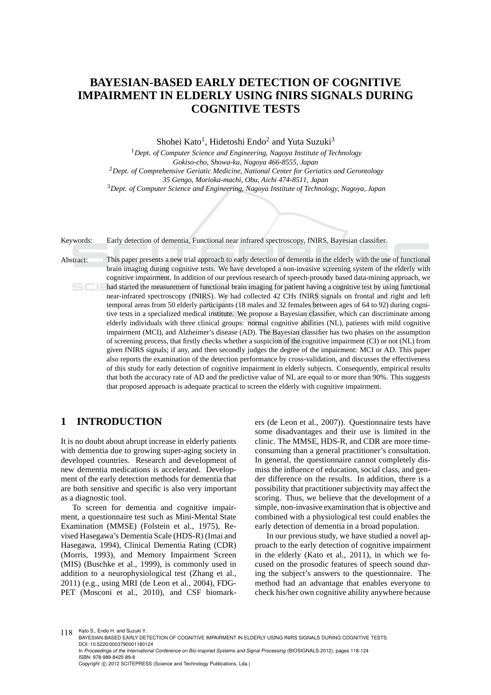# **BAYESIAN-BASED EARLY DETECTION OF COGNITIVE IMPAIRMENT IN ELDERLY USING fNIRS SIGNALS DURING COGNITIVE TESTS**

Shohei Kato<sup>1</sup>, Hidetoshi Endo<sup>2</sup> and Yuta Suzuki<sup>3</sup>

<sup>1</sup>*Dept. of Computer Science and Engineering, Nagoya Institute of Technology Gokiso-cho, Showa-ku, Nagoya 466-8555, Japan* <sup>2</sup>*Dept. of Comprehensive Geriatic Medicine, National Center for Geriatics and Gerontology 35 Gengo, Morioka-machi, Obu, Aichi 474-8511, Japan* <sup>3</sup>*Dept. of Computer Science and Engineering, Nagoya Institute of Technology, Nagoya, Japan*

Keywords: Early detection of dementia, Functional near infrared spectroscopy, fNIRS, Bayesian classifier.

Abstract: This paper presents a new trial approach to early detection of dementia in the elderly with the use of functional brain imaging during cognitive tests. We have developed a non-invasive screening system of the elderly with cognitive impairment. In addition of our previous research of speech-prosody based data-mining approach, we had started the measurement of functional brain imaging for patient having a cognitive test by using functional near-infrared spectroscopy (fNIRS). We had collected 42 CHs fNIRS signals on frontal and right and left temporal areas from 50 elderly participants (18 males and 32 females between ages of 64 to 92) during cognitive tests in a specialized medical institute. We propose a Bayesian classifier, which can discriminate among elderly individuals with three clinical groups: normal cognitive abilities (NL), patients with mild cognitive impairment (MCI), and Alzheimer's disease (AD). The Bayesian classifier has two phases on the assumption of screening process, that firstly checks whether a suspicion of the cognitive impairment (CI) or not (NL) from given fNIRS signals; if any, and then secondly judges the degree of the impairment: MCI or AD. This paper also reports the examination of the detection performance by cross-validation, and discusses the effectiveness of this study for early detection of cognitive impairment in elderly subjects. Consequently, empirical results that both the accuracy rate of AD and the predictive value of NL are equal to or more than 90%. This suggests that proposed approach is adequate practical to screen the elderly with cognitive impairment.

### **1 INTRODUCTION**

It is no doubt about abrupt increase in elderly patients with dementia due to growing super-aging society in developed countries. Research and development of new dementia medications is accelerated. Development of the early detection methods for dementia that are both sensitive and specific is also very important as a diagnostic tool.

To screen for dementia and cognitive impairment, a questionnaire test such as Mini-Mental State Examination (MMSE) (Folstein et al., 1975), Revised Hasegawa's Dementia Scale (HDS-R) (Imai and Hasegawa, 1994), Clinical Dementia Rating (CDR) (Morris, 1993), and Memory Impairment Screen (MIS) (Buschke et al., 1999), is commonly used in addition to a neurophysiological test (Zhang et al., 2011) (e.g., using MRI (de Leon et al., 2004), FDG-PET (Mosconi et al., 2010), and CSF biomarkers (de Leon et al., 2007)). Questionnaire tests have some disadvantages and their use is limited in the clinic. The MMSE, HDS-R, and CDR are more timeconsuming than a general practitioner's consultation. In general, the questionnaire cannot completely dismiss the influence of education, social class, and gender difference on the results. In addition, there is a possibility that practitioner subjectivity may affect the scoring. Thus, we believe that the development of a simple, non-invasive examination that is objective and combined with a physiological test could enables the early detection of dementia in a broad population.

In our previous study, we have studied a novel approach to the early detection of cognitive impairment in the elderly (Kato et al., 2011), in which we focused on the prosodic features of speech sound during the subject's answers to the questionnaire. The method had an advantage that enables everyone to check his/her own cognitive ability anywhere because

118 Kato S., Endo H. and Suzuki Y.

BAYESIAN-BASED EARLY DETECTION OF COGNITIVE IMPAIRMENT IN ELDERLY USING fNIRS SIGNALS DURING COGNITIVE TESTS. DOI: 10.5220/0003790001180124

In *Proceedings of the International Conference on Bio-inspired Systems and Signal Processing* (BIOSIGNALS-2012), pages 118-124 ISBN: 978-989-8425-89-8 Copyright © 2012 SCITEPRESS (Science and Technology Publications, Lda.)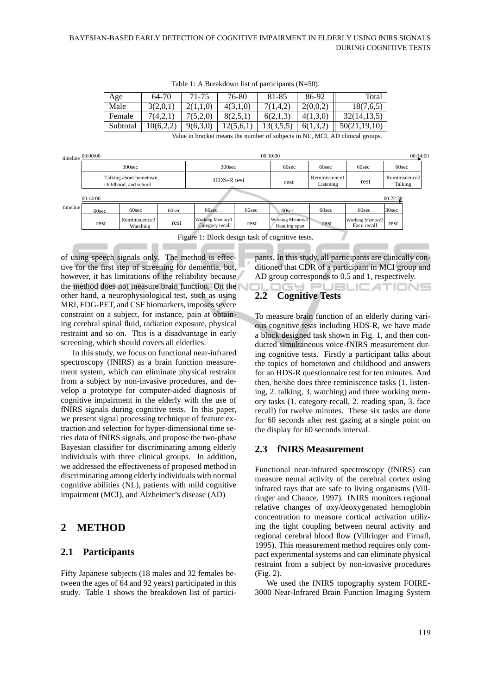| Age      | 64-70     | 71-75    | 76-80     | 81-85    | 86-92    | Total        |
|----------|-----------|----------|-----------|----------|----------|--------------|
| Male     | 3(2,0,1)  | 2(1,1,0) | 4(3,1,0)  | 7(1,4,2) | 2(0,0,2) | 18(7,6,5)    |
| Female   | 7(4,2,1)  | 7(5,2,0) | 8(2,5,1)  | 6(2,1,3) | 4(1,3,0) | 32(14,13,5)  |
| Subtotal | 10(6,2,2) | 9(6,3,0) | 12(5,6,1) | 13(3,5,5 | 6(1,3,2) | 50(21,19,10) |

Table 1: A Breakdown list of participants (N=50).

Value in bracket means the number of subjects in NL, MCI, AD clinical groups.

|          | $t$ imeline $00:00:00$                           |                           |       | 00:10:00                                  |       |                                        |                            | 00:14:00                       |                          |  |
|----------|--------------------------------------------------|---------------------------|-------|-------------------------------------------|-------|----------------------------------------|----------------------------|--------------------------------|--------------------------|--|
|          | 300 <sub>sec</sub>                               |                           |       | 300 <sub>sec</sub>                        |       | 60sec                                  | 60sec                      | 60sec                          | 60sec                    |  |
|          | Talking about hometown,<br>childhood, and school |                           |       | HDS-R test                                |       | rest                                   | Reminiscence1<br>Listening | rest                           | Reminiscence2<br>Talking |  |
|          | 00:14:00<br>00:22:30                             |                           |       |                                           |       |                                        |                            |                                |                          |  |
| timeline | 60sec                                            | 60sec                     | 60sec | 60sec                                     | 60sec | 60sec                                  | 60sec                      | 60sec                          | 30 <sub>sec</sub>        |  |
|          | rest                                             | Reminiscence3<br>Watching | rest  | <b>Working Memory1</b><br>Category recall | rest  | <b>Working Memory2</b><br>Reading span | rest                       | Working Memory3<br>Face recall | rest                     |  |

Figure 1: Block design task of cognitive tests.

of using speech signals only. The method is effective for the first step of screening for dementia, but, however, it has limitations of the reliability because the method does not measure brain function. On the other hand, a neurophysiological test, such as using MRI, FDG-PET, and CSF biomarkers, imposes severe constraint on a subject, for instance, pain at obtaining cerebral spinal fluid, radiation exposure, physical restraint and so on. This is a disadvantage in early screening, which should covers all elderlies.

In this study, we focus on functional near-infrared spectroscopy (fNIRS) as a brain function measurement system, which can eliminate physical restraint from a subject by non-invasive procedures, and develop a prototype for computer-aided diagnosis of cognitive impairment in the elderly with the use of fNIRS signals during cognitive tests. In this paper, we present signal processing technique of feature extraction and selection for hyper-dimensional time series data of fNIRS signals, and propose the two-phase Bayesian classifier for discriminating among elderly individuals with three clinical groups. In addition, we addressed the effectiveness of proposed method in discriminating among elderly individuals with normal cognitive abilities (NL), patients with mild cognitive impairment (MCI), and Alzheimer's disease (AD)

# **2 METHOD**

### **2.1 Participants**

Fifty Japanese subjects (18 males and 32 females between the ages of 64 and 92 years) participated in this study. Table 1 shows the breakdown list of partici-

pants. In this study, all participants are clinically conditioned that CDR of a participant in MCI group and AD group corresponds to 0.5 and 1, respectively.

#### ILOGY PL **JBLICATIONS 2.2 Cognitive Tests**

To measure brain function of an elderly during various cognitive tests including HDS-R, we have made a block designed task shown in Fig. 1, and then conducted simultaneous voice-fNIRS measurement during cognitive tests. Firstly a participant talks about the topics of hometown and childhood and answers for an HDS-R questionnaire test for ten minutes. And then, he/she does three reminiscence tasks (1. listening, 2. talking, 3. watching) and three working memory tasks (1. category recall, 2. reading span, 3. face recall) for twelve minutes. These six tasks are done for 60 seconds after rest gazing at a single point on the display for 60 seconds interval.

### **2.3 fNIRS Measurement**

Functional near-infrared spectroscopy (fNIRS) can measure neural activity of the cerebral cortex using infrared rays that are safe to living organisms (Villringer and Chance, 1997). fNIRS monitors regional relative changes of oxy/deoxygenated hemoglobin concentration to measure cortical activation utilizing the tight coupling between neural activity and regional cerebral blood flow (Villringer and Firnafl, 1995). This measurement method requires only compact experimental systems and can eliminate physical restraint from a subject by non-invasive procedures (Fig. 2).

We used the fNIRS topography system FOIRE-3000 Near-Infrared Brain Function Imaging System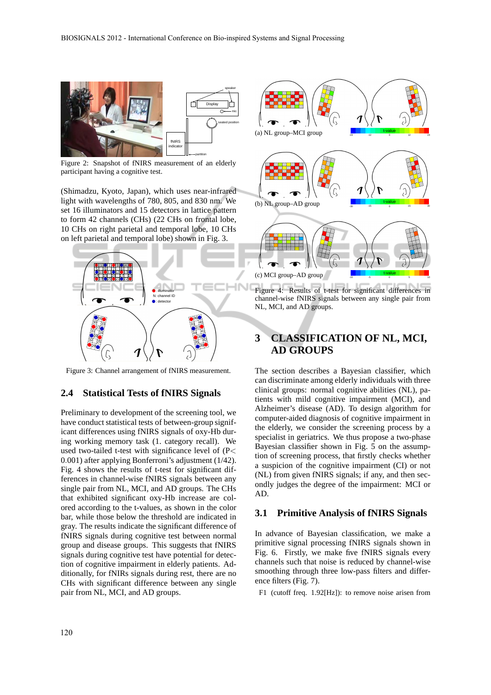

Figure 2: Snapshot of fNIRS measurement of an elderly participant having a cognitive test.

(Shimadzu, Kyoto, Japan), which uses near-infrared light with wavelengths of 780, 805, and 830 nm. We set 16 illuminators and 15 detectors in lattice pattern to form 42 channels (CHs) (22 CHs on frontal lobe, 10 CHs on right parietal and temporal lobe, 10 CHs on left parietal and temporal lobe) shown in Fig. 3.



Figure 3: Channel arrangement of fNIRS measurement.

### **2.4 Statistical Tests of fNIRS Signals**

Preliminary to development of the screening tool, we have conduct statistical tests of between-group significant differences using fNIRS signals of oxy-Hb during working memory task (1. category recall). We used two-tailed t-test with significance level of (P< 0.001) after applying Bonferroni's adjustment (1/42). Fig. 4 shows the results of t-test for significant differences in channel-wise fNIRS signals between any single pair from NL, MCI, and AD groups. The CHs that exhibited significant oxy-Hb increase are colored according to the t-values, as shown in the color bar, while those below the threshold are indicated in gray. The results indicate the significant difference of fNIRS signals during cognitive test between normal group and disease groups. This suggests that fNIRS signals during cognitive test have potential for detection of cognitive impairment in elderly patients. Additionally, for fNIRs signals during rest, there are no CHs with significant difference between any single pair from NL, MCI, and AD groups.



Figure 4: Results of t-test for significant differences in channel-wise fNIRS signals between any single pair from NL, MCI, and AD groups.

# **3 CLASSIFICATION OF NL, MCI, AD GROUPS**

The section describes a Bayesian classifier, which can discriminate among elderly individuals with three clinical groups: normal cognitive abilities (NL), patients with mild cognitive impairment (MCI), and Alzheimer's disease (AD). To design algorithm for computer-aided diagnosis of cognitive impairment in the elderly, we consider the screening process by a specialist in geriatrics. We thus propose a two-phase Bayesian classifier shown in Fig. 5 on the assumption of screening process, that firstly checks whether a suspicion of the cognitive impairment (CI) or not (NL) from given fNIRS signals; if any, and then secondly judges the degree of the impairment: MCI or AD.

### **3.1 Primitive Analysis of fNIRS Signals**

In advance of Bayesian classification, we make a primitive signal processing fNIRS signals shown in Fig. 6. Firstly, we make five fNIRS signals every channels such that noise is reduced by channel-wise smoothing through three low-pass filters and difference filters (Fig. 7).

F1 (cutoff freq. 1.92[Hz]): to remove noise arisen from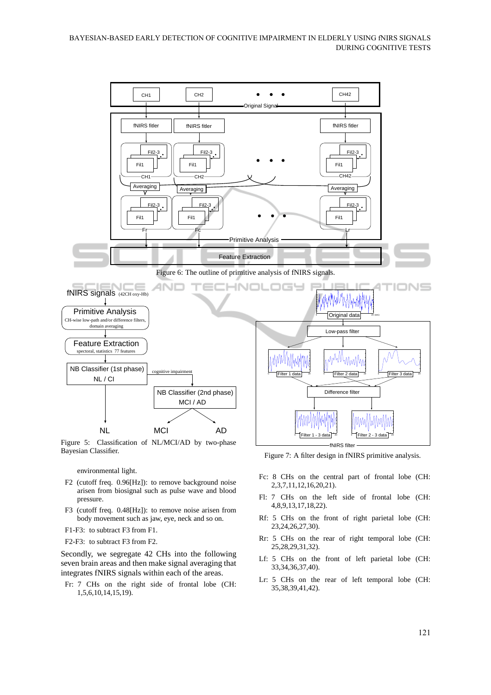





Figure 5: Classification of NL/MCI/AD by two-phase Bayesian Classifier.

environmental light.

- F2 (cutoff freq. 0.96[Hz]): to remove background noise arisen from biosignal such as pulse wave and blood pressure.
- F3 (cutoff freq. 0.48[Hz]): to remove noise arisen from body movement such as jaw, eye, neck and so on.
- F1-F3: to subtract F3 from F1.
- F2-F3: to subtract F3 from F2.

Secondly, we segregate 42 CHs into the following seven brain areas and then make signal averaging that integrates fNIRS signals within each of the areas.

Fr: 7 CHs on the right side of frontal lobe (CH: 1,5,6,10,14,15,19).

fNIRS filter Figure 7: A filter design in fNIRS primitive analysis.

- Fc: 8 CHs on the central part of frontal lobe (CH: 2,3,7,11,12,16,20,21).
- Fl: 7 CHs on the left side of frontal lobe (CH: 4,8,9,13,17,18,22).
- Rf: 5 CHs on the front of right parietal lobe (CH: 23,24,26,27,30).
- Rr: 5 CHs on the rear of right temporal lobe (CH: 25,28,29,31,32).
- Lf: 5 CHs on the front of left parietal lobe (CH: 33,34,36,37,40).
- Lr: 5 CHs on the rear of left temporal lobe (CH: 35,38,39,41,42).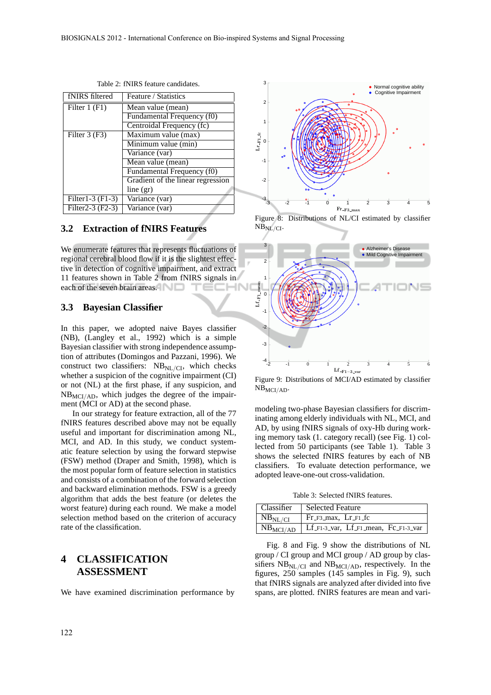| fNIRS filtered                  | Feature / Statistics               |
|---------------------------------|------------------------------------|
| Filter $1(F1)$                  | Mean value (mean)                  |
|                                 | Fundamental Frequency (f0)         |
|                                 | Centroidal Frequency (fc)          |
| Filter $3(F3)$                  | Maximum value (max)                |
|                                 | Minimum value (min)                |
|                                 | Variance (var)                     |
|                                 | Mean value (mean)                  |
|                                 | Fundamental Frequency (f0)         |
|                                 | Gradient of the linear regression  |
|                                 | line (gr)                          |
| Filter1-3 (F1-3)                | Variance (var)                     |
| Filter <sub>2</sub> -3 $(F2-3)$ | $\overline{\text{Variance}}$ (var) |

Table 2: fNIRS feature candidates.

### **3.2 Extraction of fNIRS Features**

We enumerate features that represents fluctuations of regional cerebral blood flow if it is the slightest effective in detection of cognitive impairment, and extract 11 features shown in Table 2 from fNIRS signals in each of the seven brain areas. IN

### **3.3 Bayesian Classifier**

In this paper, we adopted naive Bayes classifier (NB), (Langley et al., 1992) which is a simple Bayesian classifier with strong independence assumption of attributes (Domingos and Pazzani, 1996). We construct two classifiers:  $NB<sub>NL/CI</sub>$ , which checks whether a suspicion of the cognitive impairment (CI) or not (NL) at the first phase, if any suspicion, and  $NB<sub>MCI/AD</sub>$ , which judges the degree of the impairment (MCI or AD) at the second phase.

In our strategy for feature extraction, all of the 77 fNIRS features described above may not be equally useful and important for discrimination among NL, MCI, and AD. In this study, we conduct systematic feature selection by using the forward stepwise (FSW) method (Draper and Smith, 1998), which is the most popular form of feature selection in statistics and consists of a combination of the forward selection and backward elimination methods. FSW is a greedy algorithm that adds the best feature (or deletes the worst feature) during each round. We make a model selection method based on the criterion of accuracy rate of the classification.

### **4 CLASSIFICATION ASSESSMENT**

We have examined discrimination performance by



Figure 8: Distributions of NL/CI estimated by classifier  $NB<sub>NL</sub>/CI$ .



Figure 9: Distributions of MCI/AD estimated by classifier  $NB_{MCI/AD}$ .

modeling two-phase Bayesian classifiers for discriminating among elderly individuals with NL, MCI, and AD, by using fNIRS signals of oxy-Hb during working memory task (1. category recall) (see Fig. 1) collected from 50 participants (see Table 1). Table 3 shows the selected fNIRS features by each of NB classifiers. To evaluate detection performance, we adopted leave-one-out cross-validation.

Table 3: Selected fNIRS features.

| Classifier          | Selected Feature                     |
|---------------------|--------------------------------------|
|                     |                                      |
| NB <sub>NL/CI</sub> | $Fr_F$ 3_max, $Lr_F$ 1_fc            |
| $NB_{MCI/AD}$       | Lf F1-3 var, Lf F1 mean, Fc F1-3 var |

Fig. 8 and Fig. 9 show the distributions of NL group / CI group and MCI group / AD group by classifiers  $NB_{\text{NL}/\text{CI}}$  and  $NB_{\text{MCI/AD}}$ , respectively. In the figures,  $250$  samples (145 samples in Fig. 9), such that fNIRS signals are analyzed after divided into five spans, are plotted. fNIRS features are mean and vari-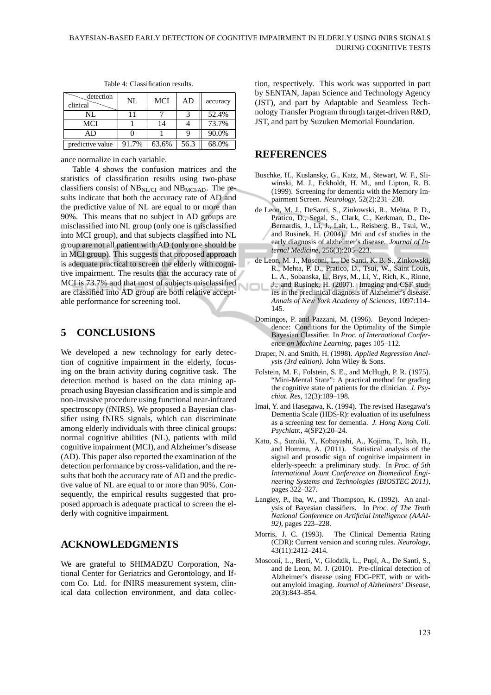| detection<br>clinical | NL    | MCI   | AD   | accuracy |
|-----------------------|-------|-------|------|----------|
| NL                    |       |       |      | 52.4%    |
| MCI                   |       | 14    |      | 73.7%    |
| AD                    |       |       |      | 90.0%    |
| predictive value      | 91.7% | 63.6% | 56.3 | 68.0%    |

Table 4: Classification results.

ance normalize in each variable.

Table 4 shows the confusion matrices and the statistics of classification results using two-phase classifiers consist of  $NB<sub>NL/CI</sub>$  and  $NB<sub>MCI/AD</sub>$ . The results indicate that both the accuracy rate of AD and the predictive value of NL are equal to or more than 90%. This means that no subject in AD groups are misclassified into NL group (only one is misclassified into MCI group), and that subjects classified into NL group are not all patient with AD (only one should be in MCI group). This suggests that proposed approach is adequate practical to screen the elderly with cognitive impairment. The results that the accuracy rate of MCI is 73.7% and that most of subjects misclassified are classified into AD group are both relative acceptable performance for screening tool.

# **5 CONCLUSIONS**

We developed a new technology for early detection of cognitive impairment in the elderly, focusing on the brain activity during cognitive task. The detection method is based on the data mining approach using Bayesian classification and is simple and non-invasive procedure using functional near-infrared spectroscopy (fNIRS). We proposed a Bayesian classifier using fNIRS signals, which can discriminate among elderly individuals with three clinical groups: normal cognitive abilities (NL), patients with mild cognitive impairment (MCI), and Alzheimer's disease (AD). This paper also reported the examination of the detection performance by cross-validation, and the results that both the accuracy rate of AD and the predictive value of NL are equal to or more than 90%. Consequently, the empirical results suggested that proposed approach is adequate practical to screen the elderly with cognitive impairment.

# **ACKNOWLEDGMENTS**

We are grateful to SHIMADZU Corporation, National Center for Geriatrics and Gerontology, and Ifcom Co. Ltd. for fNIRS measurement system, clinical data collection environment, and data collec-

tion, respectively. This work was supported in part by SENTAN, Japan Science and Technology Agency (JST), and part by Adaptable and Seamless Technology Transfer Program through target-driven R&D, JST, and part by Suzuken Memorial Foundation.

### **REFERENCES**

- Buschke, H., Kuslansky, G., Katz, M., Stewart, W. F., Sliwinski, M. J., Eckholdt, H. M., and Lipton, R. B. (1999). Screening for dementia with the Memory Impairment Screen. *Neurology*, 52(2):231–238.
- de Leon, M. J., DeSanti, S., Zinkowski, R., Mehta, P. D., Pratico, D., Segal, S., Clark, C., Kerkman, D., De-Bernardis, J., Li, J., Lair, L., Reisberg, B., Tsui, W., and Rusinek, H. (2004). Mri and csf studies in the early diagnosis of alzheimer's disease. *Journal of Internal Medicine*, 256(3):205–223.
- de Leon, M. J., Mosconi, L., De Santi, K. B. S., Zinkowski, R., Mehta, P. D., Pratico, D., Tsui, W., Saint Louis, L. A., Sobanska, L., Brys, M., Li, Y., Rich, K., Rinne, J., and Rusinek, H. (2007). Imaging and CSF stud-וםע ies in the preclinical diagnosis of Alzheimer's disease. *Annals of New York Academy of Sciences*, 1097:114– 145.
	- Domingos, P. and Pazzani, M. (1996). Beyond Independence: Conditions for the Optimality of the Simple Bayesian Classifier. In *Proc. of International Conference on Machine Learning*, pages 105–112.
	- Draper, N. and Smith, H. (1998). *Applied Regression Analysis (3rd edition)*. John Wiley & Sons.
	- Folstein, M. F., Folstein, S. E., and McHugh, P. R. (1975). "Mini-Mental State": A practical method for grading the cognitive state of patients for the clinician. *J. Psychiat. Res*, 12(3):189–198.
	- Imai, Y. and Hasegawa, K. (1994). The revised Hasegawa's Dementia Scale (HDS-R): evaluation of its usefulness as a screening test for dementia. *J. Hong Kong Coll. Psychiatr.*, 4(SP2):20–24.
	- Kato, S., Suzuki, Y., Kobayashi, A., Kojima, T., Itoh, H., and Homma, A. (2011). Statistical analysis of the signal and prosodic sign of cognitive impairment in elderly-speech: a preliminary study. In *Proc. of 5th International Jount Conference on Biomedical Engineering Systems and Technologies (BIOSTEC 2011)*, pages 322–327.
	- Langley, P., Iba, W., and Thompson, K. (1992). An analysis of Bayesian classifiers. In *Proc. of The Tenth National Conference on Artificial Intelligence (AAAI-92)*, pages 223–228.
	- Morris, J. C. (1993). The Clinical Dementia Rating (CDR): Current version and scoring rules. *Neurology*, 43(11):2412–2414.
	- Mosconi, L., Berti, V., Glodzik, L., Pupi, A., De Santi, S., and de Leon, M. J. (2010). Pre-clinical detection of Alzheimer's disease using FDG-PET, with or without amyloid imaging. *Journal of Alzheimers' Disease*, 20(3):843–854.